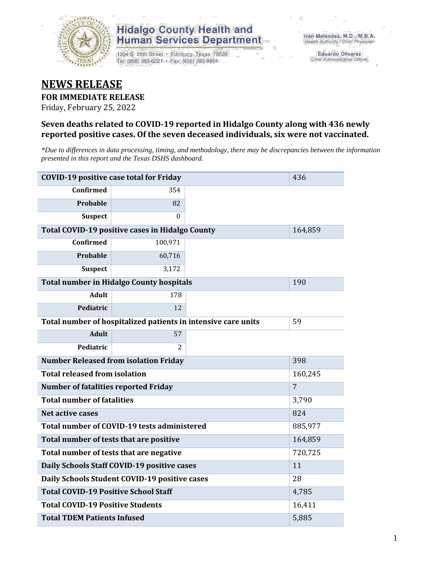

1304 S. 25th Street · Edinburg, Texas 78539 Tel: (956) 383-6221 · Fax: (956) 383-8864

**Eduardo Olivarez** Chief Administrative Officer

### **NEWS RELEASE**

#### **FOR IMMEDIATE RELEASE**

Friday, February 25, 2022

#### **Seven deaths related to COVID-19 reported in Hidalgo County along with 436 newly reported positive cases. Of the seven deceased individuals, six were not vaccinated.**

*\*Due to differences in data processing, timing, and methodology, there may be discrepancies between the information presented in this report and the Texas DSHS dashboard.*

| <b>COVID-19 positive case total for Friday</b> | 436                                                           |         |                |
|------------------------------------------------|---------------------------------------------------------------|---------|----------------|
| <b>Confirmed</b>                               | 354                                                           |         |                |
| <b>Probable</b>                                | 82                                                            |         |                |
| <b>Suspect</b>                                 | $\Omega$                                                      |         |                |
|                                                | Total COVID-19 positive cases in Hidalgo County               |         | 164,859        |
| <b>Confirmed</b>                               | 100,971                                                       |         |                |
| Probable                                       | 60,716                                                        |         |                |
| <b>Suspect</b>                                 | 3,172                                                         |         |                |
|                                                | <b>Total number in Hidalgo County hospitals</b>               |         | 190            |
| <b>Adult</b>                                   | 178                                                           |         |                |
| Pediatric                                      | 12                                                            |         |                |
|                                                | Total number of hospitalized patients in intensive care units | 59      |                |
| <b>Adult</b>                                   | 57                                                            |         |                |
| Pediatric                                      | 2                                                             |         |                |
| <b>Number Released from isolation Friday</b>   |                                                               | 398     |                |
| <b>Total released from isolation</b>           |                                                               | 160,245 |                |
| <b>Number of fatalities reported Friday</b>    |                                                               |         | $\overline{7}$ |
| <b>Total number of fatalities</b>              |                                                               |         | 3,790          |
| Net active cases                               |                                                               |         | 824            |
|                                                | Total number of COVID-19 tests administered                   |         | 885,977        |
| Total number of tests that are positive        |                                                               |         | 164,859        |
| Total number of tests that are negative        |                                                               | 720,725 |                |
|                                                | Daily Schools Staff COVID-19 positive cases                   |         | 11             |
| Daily Schools Student COVID-19 positive cases  |                                                               | 28      |                |
| <b>Total COVID-19 Positive School Staff</b>    |                                                               | 4,785   |                |
| <b>Total COVID-19 Positive Students</b>        |                                                               |         | 16,411         |
| <b>Total TDEM Patients Infused</b>             |                                                               | 5,885   |                |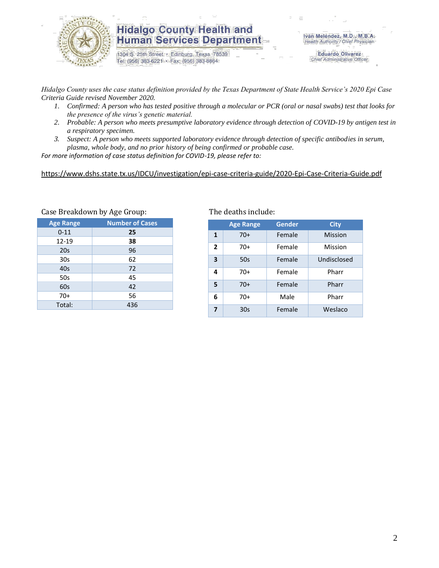

1304 S. 25th Street · Edinburg, Texas 78539 Tel: (956) 383-6221 · Fax: (956) 383-8864

**Eduardo Olivarez** Chief Administrative Officer

*Hidalgo County uses the case status definition provided by the Texas Department of State Health Service's 2020 Epi Case Criteria Guide revised November 2020.*

- *1. Confirmed: A person who has tested positive through a molecular or PCR (oral or nasal swabs) test that looks for the presence of the virus's genetic material.*
- *2. Probable: A person who meets presumptive laboratory evidence through detection of COVID-19 by antigen test in a respiratory specimen.*
- *3. Suspect: A person who meets supported laboratory evidence through detection of specific antibodies in serum, plasma, whole body, and no prior history of being confirmed or probable case.*

*For more information of case status definition for COVID-19, please refer to:*

<https://www.dshs.state.tx.us/IDCU/investigation/epi-case-criteria-guide/2020-Epi-Case-Criteria-Guide.pdf>

| <b>Age Range</b> | <b>Number of Cases</b> |
|------------------|------------------------|
| $0 - 11$         | 25                     |
| 12-19            | 38                     |
| 20s              | 96                     |
| 30 <sub>s</sub>  | 62                     |
| 40s              | 72                     |
| 50s              | 45                     |
| 60s              | 42                     |
| $70+$            | 56                     |
| Total:           | 436                    |
|                  |                        |

#### Case Breakdown by Age Group: The deaths include:

|                | <b>Age Range</b> | Gender | <b>City</b>    |
|----------------|------------------|--------|----------------|
| 1              | $70+$            | Female | <b>Mission</b> |
| $\overline{2}$ | $70+$            | Female | Mission        |
| 3              | 50s              | Female | Undisclosed    |
| 4              | $70+$            | Female | Pharr          |
| 5              | $70+$            | Female | Pharr          |
| 6              | $70+$            | Male   | Pharr          |
| 7              | 30s              | Female | Weslaco        |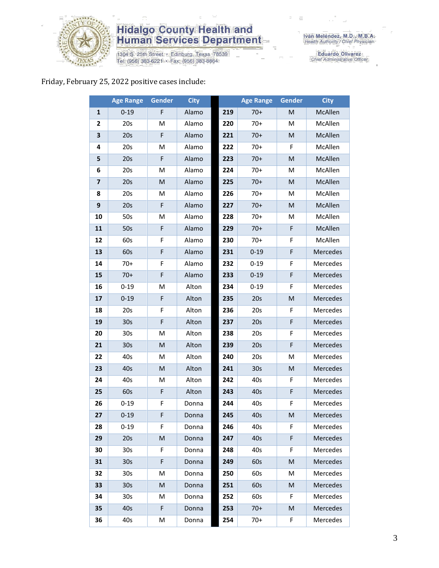

1304 S. 25th Street • Edinburg, Texas 78539<br>Tel: (956) 383-6221 • Fax: (956) 383-8864

Eduardo Olivarez<br>Chief Administrative Officer

#### Friday, February 25, 2022 positive cases include:

|                         | <b>Age Range</b> | <b>Gender</b> | <b>City</b> |     | <b>Age Range</b> | Gender    | <b>City</b>     |
|-------------------------|------------------|---------------|-------------|-----|------------------|-----------|-----------------|
| $\mathbf{1}$            | $0 - 19$         | F             | Alamo       | 219 | $70+$            | M         | McAllen         |
| $\mathbf{2}$            | 20s              | M             | Alamo       | 220 | $70+$            | M         | McAllen         |
| 3                       | 20s              | F             | Alamo       | 221 | $70+$            | M         | McAllen         |
| 4                       | 20s              | M             | Alamo       | 222 | $70+$            | F         | McAllen         |
| 5                       | 20s              | F             | Alamo       | 223 | $70+$            | M         | McAllen         |
| 6                       | 20s              | M             | Alamo       | 224 | $70+$            | M         | McAllen         |
| $\overline{\mathbf{z}}$ | 20s              | M             | Alamo       | 225 | $70+$            | ${\sf M}$ | McAllen         |
| 8                       | 20s              | M             | Alamo       | 226 | $70+$            | M         | McAllen         |
| 9                       | 20s              | F             | Alamo       | 227 | $70+$            | M         | McAllen         |
| 10                      | 50s              | M             | Alamo       | 228 | $70+$            | M         | McAllen         |
| 11                      | 50s              | F             | Alamo       | 229 | $70+$            | F         | McAllen         |
| 12                      | 60s              | F             | Alamo       | 230 | $70+$            | F         | McAllen         |
| 13                      | 60s              | F             | Alamo       | 231 | $0 - 19$         | F         | Mercedes        |
| 14                      | $70+$            | F             | Alamo       | 232 | $0 - 19$         | F         | Mercedes        |
| 15                      | $70+$            | F             | Alamo       | 233 | $0 - 19$         | F         | Mercedes        |
| 16                      | $0 - 19$         | M             | Alton       | 234 | $0 - 19$         | F         | Mercedes        |
| 17                      | $0 - 19$         | F             | Alton       | 235 | 20s              | M         | Mercedes        |
| 18                      | 20s              | F             | Alton       | 236 | 20s              | F         | Mercedes        |
| 19                      | 30s              | F             | Alton       | 237 | 20s              | F         | Mercedes        |
| 20                      | 30 <sub>s</sub>  | M             | Alton       | 238 | 20s              | F         | Mercedes        |
| 21                      | 30 <sub>s</sub>  | M             | Alton       | 239 | 20s              | F         | Mercedes        |
| 22                      | 40s              | M             | Alton       | 240 | 20s              | M         | Mercedes        |
| 23                      | 40s              | M             | Alton       | 241 | 30s              | M         | Mercedes        |
| 24                      | 40s              | M             | Alton       | 242 | 40s              | F         | Mercedes        |
| 25                      | 60s              | F             | Alton       | 243 | 40s              | F         | <b>Mercedes</b> |
| 26                      | $0 - 19$         | F             | Donna       | 244 | 40s              | F         | Mercedes        |
| 27                      | $0 - 19$         | F             | Donna       | 245 | 40 <sub>s</sub>  | M         | Mercedes        |
| 28                      | $0 - 19$         | F.            | Donna       | 246 | 40s              | F         | Mercedes        |
| 29                      | 20s              | M             | Donna       | 247 | 40s              | F         | Mercedes        |
| 30                      | 30 <sub>s</sub>  | F             | Donna       | 248 | 40s              | F         | Mercedes        |
| 31                      | 30 <sub>s</sub>  | F             | Donna       | 249 | 60s              | M         | Mercedes        |
| 32                      | 30 <sub>s</sub>  | M             | Donna       | 250 | 60s              | M         | Mercedes        |
| 33                      | 30 <sub>s</sub>  | M             | Donna       | 251 | 60s              | M         | Mercedes        |
| 34                      | 30s              | M             | Donna       | 252 | 60s              | F         | Mercedes        |
| 35                      | 40s              | F             | Donna       | 253 | $70+$            | M         | Mercedes        |
| 36                      | 40s              | M             | Donna       | 254 | $70+$            | F         | Mercedes        |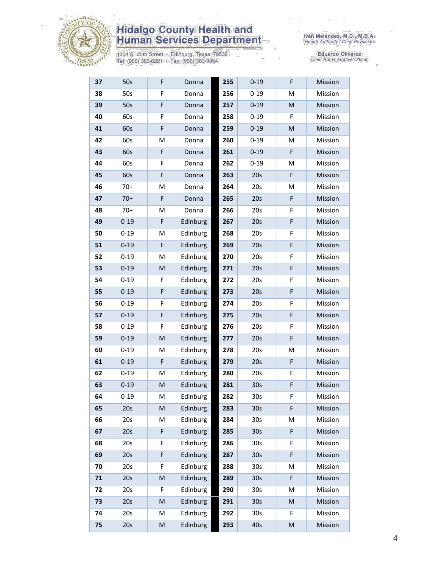

1304 S. 25th Street · Edinburg, Texas 78539<br>Tel: (956) 383-6221 · Fax: (956) 383-8864

| 37 | 50s      | F                                                                                                          | Donna    | 255 | $0 - 19$        | F                                                                                                          | Mission |
|----|----------|------------------------------------------------------------------------------------------------------------|----------|-----|-----------------|------------------------------------------------------------------------------------------------------------|---------|
| 38 | 50s      | F                                                                                                          | Donna    | 256 | $0 - 19$        | M                                                                                                          | Mission |
| 39 | 50s      | F                                                                                                          | Donna    | 257 | $0 - 19$        | M                                                                                                          | Mission |
| 40 | 60s      | F                                                                                                          | Donna    | 258 | $0 - 19$        | F                                                                                                          | Mission |
| 41 | 60s      | $\mathsf F$                                                                                                | Donna    | 259 | $0 - 19$        | M                                                                                                          | Mission |
| 42 | 60s      | M                                                                                                          | Donna    | 260 | $0 - 19$        | М                                                                                                          | Mission |
| 43 | 60s      | F                                                                                                          | Donna    | 261 | $0 - 19$        | F                                                                                                          | Mission |
| 44 | 60s      | F                                                                                                          | Donna    | 262 | $0 - 19$        | M                                                                                                          | Mission |
| 45 | 60s      | $\mathsf F$                                                                                                | Donna    | 263 | 20s             | F                                                                                                          | Mission |
| 46 | $70+$    | M                                                                                                          | Donna    | 264 | 20s             | Μ                                                                                                          | Mission |
| 47 | $70+$    | F                                                                                                          | Donna    | 265 | 20s             | F                                                                                                          | Mission |
| 48 | $70+$    | M                                                                                                          | Donna    | 266 | 20s             | F                                                                                                          | Mission |
| 49 | $0 - 19$ | F                                                                                                          | Edinburg | 267 | 20s             | F                                                                                                          | Mission |
| 50 | $0 - 19$ | M                                                                                                          | Edinburg | 268 | 20s             | F                                                                                                          | Mission |
| 51 | $0 - 19$ | F                                                                                                          | Edinburg | 269 | 20s             | F                                                                                                          | Mission |
| 52 | $0 - 19$ | M                                                                                                          | Edinburg | 270 | 20s             | F                                                                                                          | Mission |
| 53 | $0 - 19$ | ${\sf M}$                                                                                                  | Edinburg | 271 | 20s             | F                                                                                                          | Mission |
| 54 | $0 - 19$ | F                                                                                                          | Edinburg | 272 | 20s             | F                                                                                                          | Mission |
| 55 | $0 - 19$ | $\mathsf F$                                                                                                | Edinburg | 273 | 20s             | F                                                                                                          | Mission |
| 56 | $0 - 19$ | F                                                                                                          | Edinburg | 274 | 20s             | F                                                                                                          | Mission |
| 57 | $0 - 19$ | F                                                                                                          | Edinburg | 275 | 20s             | F                                                                                                          | Mission |
| 58 | $0 - 19$ | F                                                                                                          | Edinburg | 276 | 20s             | F                                                                                                          | Mission |
| 59 | $0 - 19$ | $\mathsf{M}$                                                                                               | Edinburg | 277 | 20s             | F                                                                                                          | Mission |
| 60 | $0 - 19$ | M                                                                                                          | Edinburg | 278 | 20s             | Μ                                                                                                          | Mission |
| 61 | $0 - 19$ | $\mathsf F$                                                                                                | Edinburg | 279 | 20s             | F                                                                                                          | Mission |
| 62 | $0 - 19$ | M                                                                                                          | Edinburg | 280 | 20s             | F                                                                                                          | Mission |
| 63 | $0 - 19$ | ${\sf M}$                                                                                                  | Edinburg | 281 | 30 <sub>s</sub> | F                                                                                                          | Mission |
| 64 | $0 - 19$ | M                                                                                                          | Edinburg | 282 | 30 <sub>s</sub> | F                                                                                                          | Mission |
| 65 | 20s      | ${\sf M}$                                                                                                  | Edinburg | 283 | 30 <sub>s</sub> | F                                                                                                          | Mission |
| 66 | 20s      | M                                                                                                          | Edinburg | 284 | 30 <sub>s</sub> | M                                                                                                          | Mission |
| 67 | 20s      | F                                                                                                          | Edinburg | 285 | 30 <sub>s</sub> | F                                                                                                          | Mission |
| 68 | 20s      | F                                                                                                          | Edinburg | 286 | 30s             | F                                                                                                          | Mission |
| 69 | 20s      | F                                                                                                          | Edinburg | 287 | 30 <sub>s</sub> | F                                                                                                          | Mission |
| 70 | 20s      | F                                                                                                          | Edinburg | 288 | 30 <sub>s</sub> | Μ                                                                                                          | Mission |
| 71 | 20s      | M                                                                                                          | Edinburg | 289 | 30 <sub>s</sub> | F                                                                                                          | Mission |
| 72 | 20s      | F                                                                                                          | Edinburg | 290 | 30 <sub>s</sub> | Μ                                                                                                          | Mission |
| 73 | 20s      | M                                                                                                          | Edinburg | 291 | 30 <sub>s</sub> | M                                                                                                          | Mission |
| 74 | 20s      | M                                                                                                          | Edinburg | 292 | 30s             | F                                                                                                          | Mission |
| 75 | 20s      | $\mathsf{M}% _{T}=\mathsf{M}_{T}\!\left( a,b\right) ,\ \mathsf{M}_{T}=\mathsf{M}_{T}\!\left( a,b\right) ,$ | Edinburg | 293 | 40s             | $\mathsf{M}% _{T}=\mathsf{M}_{T}\!\left( a,b\right) ,\ \mathsf{M}_{T}=\mathsf{M}_{T}\!\left( a,b\right) ,$ | Mission |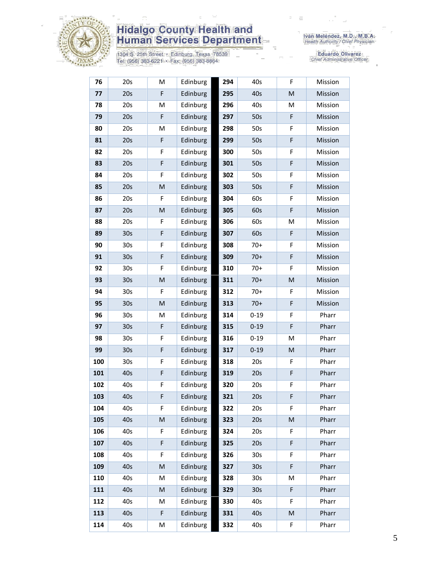

1304 S. 25th Street • Edinburg, Texas 78539<br>Tel: (956) 383-6221 • Fax: (956) 383-8864

Iván Meléndez, M.D., M.B.A.<br>Health Authority / Chief Physician

| 76  | 20s             | M                                                                                                          | Edinburg | 294 | 40s             | F | Mission |
|-----|-----------------|------------------------------------------------------------------------------------------------------------|----------|-----|-----------------|---|---------|
| 77  | 20s             | F                                                                                                          | Edinburg | 295 | 40s             | M | Mission |
| 78  | 20s             | M                                                                                                          | Edinburg | 296 | 40s             | M | Mission |
| 79  | 20s             | F                                                                                                          | Edinburg | 297 | 50s             | F | Mission |
| 80  | 20s             | M                                                                                                          | Edinburg | 298 | 50s             | F | Mission |
| 81  | 20s             | F                                                                                                          | Edinburg | 299 | 50s             | F | Mission |
| 82  | 20s             | F                                                                                                          | Edinburg | 300 | 50s             | F | Mission |
| 83  | 20s             | F                                                                                                          | Edinburg | 301 | 50s             | F | Mission |
| 84  | 20s             | F                                                                                                          | Edinburg | 302 | 50s             | F | Mission |
| 85  | 20s             | ${\sf M}$                                                                                                  | Edinburg | 303 | 50s             | F | Mission |
| 86  | 20s             | F                                                                                                          | Edinburg | 304 | 60s             | F | Mission |
| 87  | 20s             | M                                                                                                          | Edinburg | 305 | 60s             | F | Mission |
| 88  | 20s             | F                                                                                                          | Edinburg | 306 | 60s             | Μ | Mission |
| 89  | 30 <sub>s</sub> | F                                                                                                          | Edinburg | 307 | 60s             | F | Mission |
| 90  | 30 <sub>s</sub> | F                                                                                                          | Edinburg | 308 | $70+$           | F | Mission |
| 91  | 30 <sub>s</sub> | F                                                                                                          | Edinburg | 309 | $70+$           | F | Mission |
| 92  | 30 <sub>s</sub> | F                                                                                                          | Edinburg | 310 | $70+$           | F | Mission |
| 93  | 30 <sub>s</sub> | $\mathsf{M}% _{T}=\mathsf{M}_{T}\!\left( a,b\right) ,\ \mathsf{M}_{T}=\mathsf{M}_{T}\!\left( a,b\right) ,$ | Edinburg | 311 | $70+$           | M | Mission |
| 94  | 30 <sub>s</sub> | F                                                                                                          | Edinburg | 312 | $70+$           | F | Mission |
| 95  | 30 <sub>s</sub> | $\mathsf{M}% _{T}=\mathsf{M}_{T}\!\left( a,b\right) ,\ \mathsf{M}_{T}=\mathsf{M}_{T}\!\left( a,b\right) ,$ | Edinburg | 313 | $70+$           | F | Mission |
| 96  | 30 <sub>s</sub> | M                                                                                                          | Edinburg | 314 | $0 - 19$        | F | Pharr   |
| 97  | 30 <sub>s</sub> | F                                                                                                          | Edinburg | 315 | $0 - 19$        | F | Pharr   |
| 98  | 30 <sub>s</sub> | F                                                                                                          | Edinburg | 316 | $0 - 19$        | M | Pharr   |
| 99  | 30 <sub>s</sub> | F                                                                                                          | Edinburg | 317 | $0 - 19$        | M | Pharr   |
| 100 | 30 <sub>s</sub> | F                                                                                                          | Edinburg | 318 | 20s             | F | Pharr   |
| 101 | 40s             | F                                                                                                          | Edinburg | 319 | 20s             | F | Pharr   |
| 102 | 40s             | F                                                                                                          | Edinburg | 320 | 20s             | F | Pharr   |
| 103 | 40s             | F                                                                                                          | Edinburg | 321 | 20s             | F | Pharr   |
| 104 | 40s             | F                                                                                                          | Edinburg | 322 | 20s             | F | Pharr   |
| 105 | 40s             | $\mathsf{M}% _{T}=\mathsf{M}_{T}\!\left( a,b\right) ,\ \mathsf{M}_{T}=\mathsf{M}_{T}\!\left( a,b\right) ,$ | Edinburg | 323 | 20s             | M | Pharr   |
| 106 | 40s             | F                                                                                                          | Edinburg | 324 | 20s             | F | Pharr   |
| 107 | 40s             | F                                                                                                          | Edinburg | 325 | 20s             | F | Pharr   |
| 108 | 40s             | F                                                                                                          | Edinburg | 326 | 30 <sub>s</sub> | F | Pharr   |
| 109 | 40s             | ${\sf M}$                                                                                                  | Edinburg | 327 | 30 <sub>s</sub> | F | Pharr   |
| 110 | 40s             | M                                                                                                          | Edinburg | 328 | 30 <sub>s</sub> | Μ | Pharr   |
| 111 | 40s             | ${\sf M}$                                                                                                  | Edinburg | 329 | 30 <sub>s</sub> | F | Pharr   |
| 112 | 40s             | M                                                                                                          | Edinburg | 330 | 40s             | F | Pharr   |
| 113 | 40s             | F                                                                                                          | Edinburg | 331 | 40s             | M | Pharr   |
| 114 | 40s             | М                                                                                                          | Edinburg | 332 | 40s             | F | Pharr   |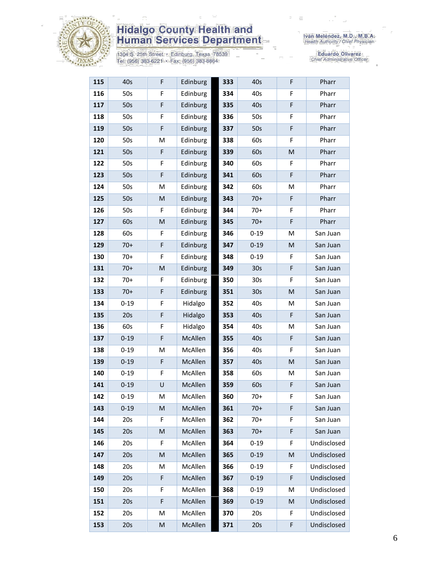

1304 S. 25th Street · Edinburg, Texas 78539<br>Tel: (956) 383-6221 · Fax: (956) 383-8864

Iván Meléndez, M.D., M.B.A.<br>Health Authority / Chief Physician

| 115 | 40s      | F                                                                                                          | Edinburg | 333 | 40s             | F | Pharr       |
|-----|----------|------------------------------------------------------------------------------------------------------------|----------|-----|-----------------|---|-------------|
| 116 | 50s      | F                                                                                                          | Edinburg | 334 | 40s             | F | Pharr       |
| 117 | 50s      | F                                                                                                          | Edinburg | 335 | 40s             | F | Pharr       |
| 118 | 50s      | F                                                                                                          | Edinburg | 336 | 50s             | F | Pharr       |
| 119 | 50s      | F                                                                                                          | Edinburg | 337 | 50s             | F | Pharr       |
| 120 | 50s      | M                                                                                                          | Edinburg | 338 | 60s             | F | Pharr       |
| 121 | 50s      | F                                                                                                          | Edinburg | 339 | 60s             | M | Pharr       |
| 122 | 50s      | F                                                                                                          | Edinburg | 340 | 60s             | F | Pharr       |
| 123 | 50s      | F                                                                                                          | Edinburg | 341 | 60s             | F | Pharr       |
| 124 | 50s      | M                                                                                                          | Edinburg | 342 | 60s             | Μ | Pharr       |
| 125 | 50s      | ${\sf M}$                                                                                                  | Edinburg | 343 | $70+$           | F | Pharr       |
| 126 | 50s      | F                                                                                                          | Edinburg | 344 | $70+$           | F | Pharr       |
| 127 | 60s      | ${\sf M}$                                                                                                  | Edinburg | 345 | $70+$           | F | Pharr       |
| 128 | 60s      | F                                                                                                          | Edinburg | 346 | $0 - 19$        | M | San Juan    |
| 129 | $70+$    | F                                                                                                          | Edinburg | 347 | $0 - 19$        | M | San Juan    |
| 130 | $70+$    | F                                                                                                          | Edinburg | 348 | $0 - 19$        | F | San Juan    |
| 131 | $70+$    | M                                                                                                          | Edinburg | 349 | 30 <sub>s</sub> | F | San Juan    |
| 132 | $70+$    | F                                                                                                          | Edinburg | 350 | 30 <sub>s</sub> | F | San Juan    |
| 133 | $70+$    | F                                                                                                          | Edinburg | 351 | 30 <sub>s</sub> | M | San Juan    |
| 134 | $0 - 19$ | F                                                                                                          | Hidalgo  | 352 | 40s             | Μ | San Juan    |
| 135 | 20s      | F                                                                                                          | Hidalgo  | 353 | 40s             | F | San Juan    |
| 136 | 60s      | F                                                                                                          | Hidalgo  | 354 | 40s             | M | San Juan    |
| 137 | $0 - 19$ | F                                                                                                          | McAllen  | 355 | 40s             | F | San Juan    |
| 138 | $0 - 19$ | M                                                                                                          | McAllen  | 356 | 40s             | F | San Juan    |
| 139 | $0 - 19$ | F                                                                                                          | McAllen  | 357 | 40s             | M | San Juan    |
| 140 | $0 - 19$ | F                                                                                                          | McAllen  | 358 | 60s             | M | San Juan    |
| 141 | $0 - 19$ | U                                                                                                          | McAllen  | 359 | 60s             | F | San Juan    |
| 142 | $0 - 19$ | M                                                                                                          | McAllen  | 360 | $70+$           | F | San Juan    |
| 143 | $0 - 19$ | M                                                                                                          | McAllen  | 361 | $70+$           | F | San Juan    |
| 144 | 20s      | F                                                                                                          | McAllen  | 362 | $70+$           | F | San Juan    |
| 145 | 20s      | M                                                                                                          | McAllen  | 363 | $70+$           | F | San Juan    |
| 146 | 20s      | F                                                                                                          | McAllen  | 364 | $0 - 19$        | F | Undisclosed |
| 147 | 20s      | ${\sf M}$                                                                                                  | McAllen  | 365 | $0 - 19$        | M | Undisclosed |
| 148 | 20s      | M                                                                                                          | McAllen  | 366 | $0 - 19$        | F | Undisclosed |
| 149 | 20s      | F                                                                                                          | McAllen  | 367 | $0 - 19$        | F | Undisclosed |
| 150 | 20s      | F                                                                                                          | McAllen  | 368 | $0 - 19$        | M | Undisclosed |
| 151 | 20s      | F                                                                                                          | McAllen  | 369 | $0 - 19$        | M | Undisclosed |
| 152 | 20s      | M                                                                                                          | McAllen  | 370 | 20s             | F | Undisclosed |
| 153 | 20s      | $\mathsf{M}% _{T}=\mathsf{M}_{T}\!\left( a,b\right) ,\ \mathsf{M}_{T}=\mathsf{M}_{T}\!\left( a,b\right) ,$ | McAllen  | 371 | 20s             | F | Undisclosed |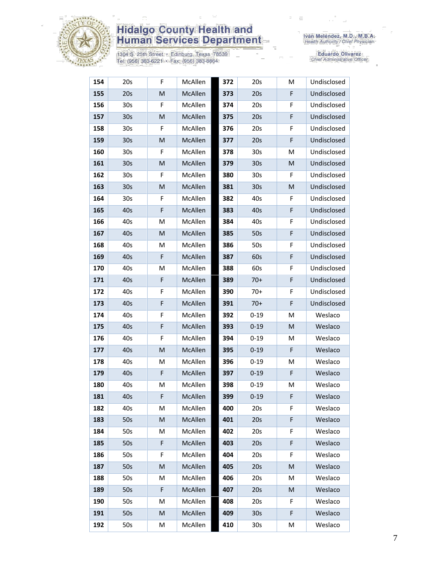

1304 S. 25th Street • Edinburg, Texas 78539<br>Tel: (956) 383-6221 • Fax: (956) 383-8864

| 154 | 20s             | F | McAllen | 372 | 20s             | M | Undisclosed |
|-----|-----------------|---|---------|-----|-----------------|---|-------------|
| 155 | 20s             | M | McAllen | 373 | 20s             | F | Undisclosed |
| 156 | 30 <sub>s</sub> | F | McAllen | 374 | 20s             | F | Undisclosed |
| 157 | 30 <sub>s</sub> | M | McAllen | 375 | 20s             | F | Undisclosed |
| 158 | 30s             | F | McAllen | 376 | 20s             | F | Undisclosed |
| 159 | 30 <sub>s</sub> | M | McAllen | 377 | 20s             | F | Undisclosed |
| 160 | 30 <sub>s</sub> | F | McAllen | 378 | 30 <sub>s</sub> | M | Undisclosed |
| 161 | 30 <sub>s</sub> | M | McAllen | 379 | 30 <sub>s</sub> | M | Undisclosed |
| 162 | 30 <sub>s</sub> | F | McAllen | 380 | 30 <sub>s</sub> | F | Undisclosed |
| 163 | 30 <sub>s</sub> | M | McAllen | 381 | 30 <sub>s</sub> | M | Undisclosed |
| 164 | 30s             | F | McAllen | 382 | 40s             | F | Undisclosed |
| 165 | 40s             | F | McAllen | 383 | 40s             | F | Undisclosed |
| 166 | 40s             | M | McAllen | 384 | 40s             | F | Undisclosed |
| 167 | 40s             | M | McAllen | 385 | 50s             | F | Undisclosed |
| 168 | 40s             | M | McAllen | 386 | 50s             | F | Undisclosed |
| 169 | 40s             | F | McAllen | 387 | 60s             | F | Undisclosed |
| 170 | 40s             | M | McAllen | 388 | 60s             | F | Undisclosed |
| 171 | 40s             | F | McAllen | 389 | $70+$           | F | Undisclosed |
| 172 | 40s             | F | McAllen | 390 | $70+$           | F | Undisclosed |
| 173 | 40s             | F | McAllen | 391 | $70+$           | F | Undisclosed |
| 174 | 40s             | F | McAllen | 392 | $0 - 19$        | М | Weslaco     |
| 175 | 40s             | F | McAllen | 393 | $0 - 19$        | M | Weslaco     |
| 176 | 40s             | F | McAllen | 394 | $0 - 19$        | M | Weslaco     |
| 177 | 40s             | M | McAllen | 395 | $0 - 19$        | F | Weslaco     |
| 178 | 40s             | M | McAllen | 396 | $0 - 19$        | М | Weslaco     |
| 179 | 40s             | F | McAllen | 397 | $0 - 19$        | F | Weslaco     |
| 180 | 40s             | M | McAllen | 398 | $0 - 19$        | M | Weslaco     |
| 181 | 40s             | F | McAllen | 399 | $0 - 19$        | F | Weslaco     |
| 182 | 40s             | M | McAllen | 400 | 20s             | F | Weslaco     |
| 183 | 50s             | M | McAllen | 401 | 20s             | F | Weslaco     |
| 184 | 50s             | М | McAllen | 402 | 20s             | F | Weslaco     |
| 185 | 50s             | F | McAllen | 403 | 20s             | F | Weslaco     |
| 186 | 50s             | F | McAllen | 404 | 20s             | F | Weslaco     |
| 187 | 50s             | M | McAllen | 405 | 20s             | M | Weslaco     |
| 188 | 50s             | Μ | McAllen | 406 | 20s             | M | Weslaco     |
| 189 | 50s             | F | McAllen | 407 | 20s             | M | Weslaco     |
| 190 | 50s             | Μ | McAllen | 408 | 20s             | F | Weslaco     |
| 191 | 50s             | M | McAllen | 409 | 30s             | F | Weslaco     |
| 192 | 50s             | М | McAllen | 410 | 30s             | М | Weslaco     |